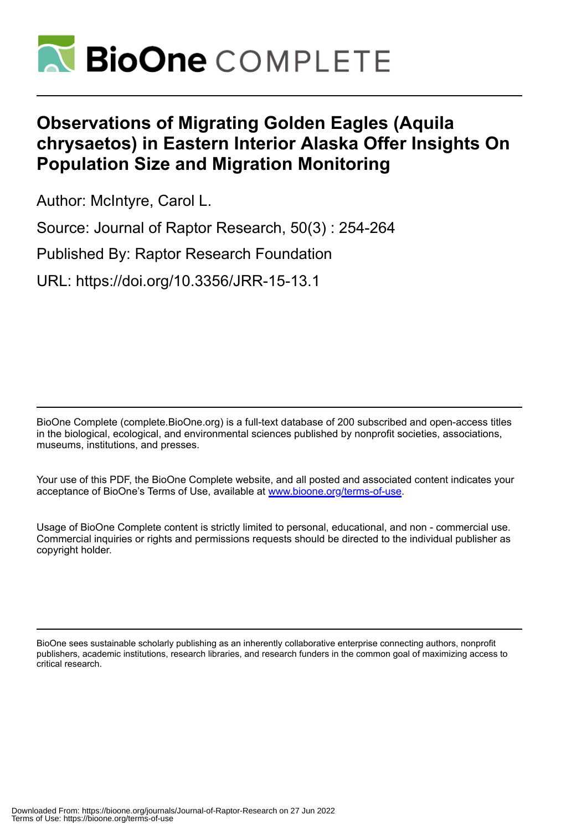

# **Observations of Migrating Golden Eagles (Aquila chrysaetos) in Eastern Interior Alaska Offer Insights On Population Size and Migration Monitoring**

Author: McIntyre, Carol L.

Source: Journal of Raptor Research, 50(3) : 254-264

Published By: Raptor Research Foundation

URL: https://doi.org/10.3356/JRR-15-13.1

BioOne Complete (complete.BioOne.org) is a full-text database of 200 subscribed and open-access titles in the biological, ecological, and environmental sciences published by nonprofit societies, associations, museums, institutions, and presses.

Your use of this PDF, the BioOne Complete website, and all posted and associated content indicates your acceptance of BioOne's Terms of Use, available at www.bioone.org/terms-of-use.

Usage of BioOne Complete content is strictly limited to personal, educational, and non - commercial use. Commercial inquiries or rights and permissions requests should be directed to the individual publisher as copyright holder.

BioOne sees sustainable scholarly publishing as an inherently collaborative enterprise connecting authors, nonprofit publishers, academic institutions, research libraries, and research funders in the common goal of maximizing access to critical research.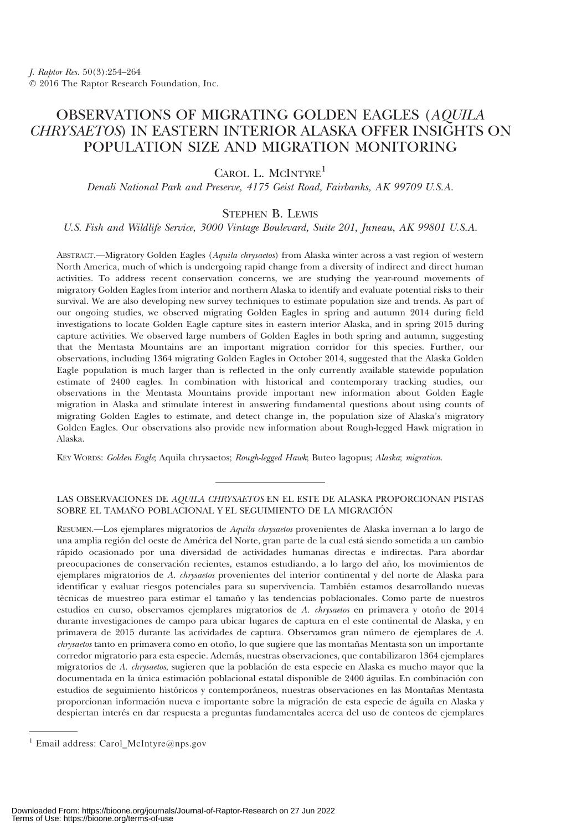## OBSERVATIONS OF MIGRATING GOLDEN EAGLES (AQUILA CHRYSAETOS) IN EASTERN INTERIOR ALASKA OFFER INSIGHTS ON POPULATION SIZE AND MIGRATION MONITORING

CAROL L. MCINTYRE<sup>1</sup>

Denali National Park and Preserve, 4175 Geist Road, Fairbanks, AK 99709 U.S.A.

### STEPHEN B. LEWIS

U.S. Fish and Wildlife Service, 3000 Vintage Boulevard, Suite 201, Juneau, AK 99801 U.S.A.

ABSTRACT.—Migratory Golden Eagles (Aquila chrysaetos) from Alaska winter across a vast region of western North America, much of which is undergoing rapid change from a diversity of indirect and direct human activities. To address recent conservation concerns, we are studying the year-round movements of migratory Golden Eagles from interior and northern Alaska to identify and evaluate potential risks to their survival. We are also developing new survey techniques to estimate population size and trends. As part of our ongoing studies, we observed migrating Golden Eagles in spring and autumn 2014 during field investigations to locate Golden Eagle capture sites in eastern interior Alaska, and in spring 2015 during capture activities. We observed large numbers of Golden Eagles in both spring and autumn, suggesting that the Mentasta Mountains are an important migration corridor for this species. Further, our observations, including 1364 migrating Golden Eagles in October 2014, suggested that the Alaska Golden Eagle population is much larger than is reflected in the only currently available statewide population estimate of 2400 eagles. In combination with historical and contemporary tracking studies, our observations in the Mentasta Mountains provide important new information about Golden Eagle migration in Alaska and stimulate interest in answering fundamental questions about using counts of migrating Golden Eagles to estimate, and detect change in, the population size of Alaska's migratory Golden Eagles. Our observations also provide new information about Rough-legged Hawk migration in Alaska.

KEY WORDS: Golden Eagle; Aquila chrysaetos; Rough-legged Hawk; Buteo lagopus; Alaska; migration.

#### LAS OBSERVACIONES DE AQUILA CHRYSAETOS EN EL ESTE DE ALASKA PROPORCIONAN PISTAS SOBRE EL TAMAÑO POBLACIONAL Y EL SEGUIMIENTO DE LA MIGRACIÓN

RESUMEN.—Los ejemplares migratorios de Aquila chrysaetos provenientes de Alaska invernan a lo largo de una amplia región del oeste de América del Norte, gran parte de la cual está siendo sometida a un cambio rápido ocasionado por una diversidad de actividades humanas directas e indirectas. Para abordar preocupaciones de conservación recientes, estamos estudiando, a lo largo del año, los movimientos de ejemplares migratorios de A. chrysaetos provenientes del interior continental y del norte de Alaska para identificar y evaluar riesgos potenciales para su supervivencia. También estamos desarrollando nuevas técnicas de muestreo para estimar el tamaño y las tendencias poblacionales. Como parte de nuestros estudios en curso, observamos ejemplares migratorios de A. chrysaetos en primavera y otoño de 2014 durante investigaciones de campo para ubicar lugares de captura en el este continental de Alaska, y en primavera de 2015 durante las actividades de captura. Observamos gran número de ejemplares de A. chrysaetos tanto en primavera como en otoño, lo que sugiere que las montañas Mentasta son un importante corredor migratorio para esta especie. Además, nuestras observaciones, que contabilizaron 1364 ejemplares migratorios de A. chrysaetos, sugieren que la población de esta especie en Alaska es mucho mayor que la documentada en la única estimación poblacional estatal disponible de 2400 águilas. En combinación con estudios de seguimiento históricos y contemporáneos, nuestras observaciones en las Montañas Mentasta proporcionan información nueva e importante sobre la migración de esta especie de águila en Alaska y despiertan interés en dar respuesta a preguntas fundamentales acerca del uso de conteos de ejemplares

<sup>1</sup> Email address: Carol\_McIntyre@nps.gov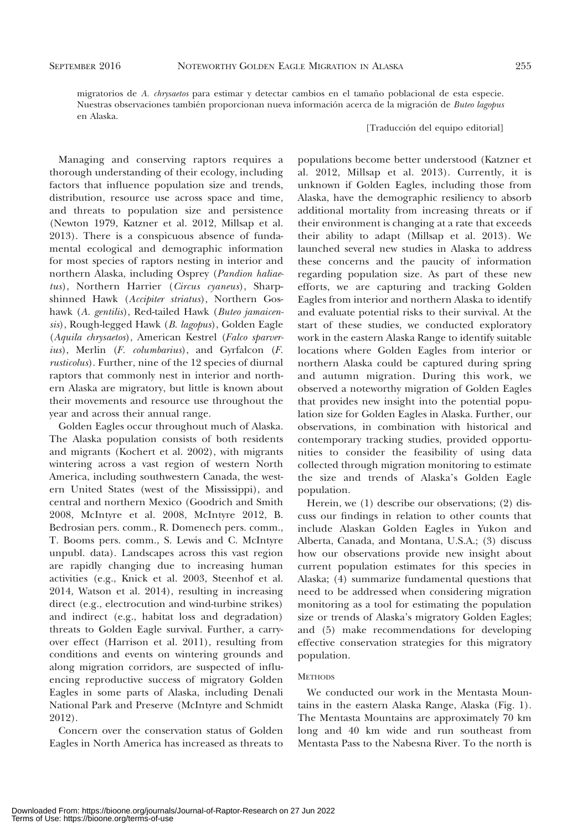migratorios de A. chrysaetos para estimar y detectar cambios en el tamaño poblacional de esta especie. Nuestras observaciones también proporcionan nueva información acerca de la migración de Buteo lagopus en Alaska.

[Traducción del equipo editorial]

Managing and conserving raptors requires a thorough understanding of their ecology, including factors that influence population size and trends, distribution, resource use across space and time, and threats to population size and persistence (Newton 1979, Katzner et al. 2012, Millsap et al. 2013). There is a conspicuous absence of fundamental ecological and demographic information for most species of raptors nesting in interior and northern Alaska, including Osprey (Pandion haliaetus), Northern Harrier (Circus cyaneus), Sharpshinned Hawk (Accipiter striatus), Northern Goshawk (A. gentilis), Red-tailed Hawk (Buteo jamaicensis), Rough-legged Hawk (B. lagopus), Golden Eagle (Aquila chrysaetos), American Kestrel (Falco sparverius), Merlin (F. columbarius), and Gyrfalcon (F. rusticolus). Further, nine of the 12 species of diurnal raptors that commonly nest in interior and northern Alaska are migratory, but little is known about their movements and resource use throughout the year and across their annual range.

Golden Eagles occur throughout much of Alaska. The Alaska population consists of both residents and migrants (Kochert et al. 2002), with migrants wintering across a vast region of western North America, including southwestern Canada, the western United States (west of the Mississippi), and central and northern Mexico (Goodrich and Smith 2008, McIntyre et al. 2008, McIntyre 2012, B. Bedrosian pers. comm., R. Domenech pers. comm., T. Booms pers. comm., S. Lewis and C. McIntyre unpubl. data). Landscapes across this vast region are rapidly changing due to increasing human activities (e.g., Knick et al. 2003, Steenhof et al. 2014, Watson et al. 2014), resulting in increasing direct (e.g., electrocution and wind-turbine strikes) and indirect (e.g., habitat loss and degradation) threats to Golden Eagle survival. Further, a carryover effect (Harrison et al. 2011), resulting from conditions and events on wintering grounds and along migration corridors, are suspected of influencing reproductive success of migratory Golden Eagles in some parts of Alaska, including Denali National Park and Preserve (McIntyre and Schmidt 2012).

Concern over the conservation status of Golden Eagles in North America has increased as threats to

populations become better understood (Katzner et al. 2012, Millsap et al. 2013). Currently, it is unknown if Golden Eagles, including those from Alaska, have the demographic resiliency to absorb additional mortality from increasing threats or if their environment is changing at a rate that exceeds their ability to adapt (Millsap et al. 2013). We launched several new studies in Alaska to address these concerns and the paucity of information regarding population size. As part of these new efforts, we are capturing and tracking Golden Eagles from interior and northern Alaska to identify and evaluate potential risks to their survival. At the start of these studies, we conducted exploratory work in the eastern Alaska Range to identify suitable locations where Golden Eagles from interior or northern Alaska could be captured during spring and autumn migration. During this work, we observed a noteworthy migration of Golden Eagles that provides new insight into the potential population size for Golden Eagles in Alaska. Further, our observations, in combination with historical and contemporary tracking studies, provided opportunities to consider the feasibility of using data collected through migration monitoring to estimate the size and trends of Alaska's Golden Eagle population.

Herein, we (1) describe our observations; (2) discuss our findings in relation to other counts that include Alaskan Golden Eagles in Yukon and Alberta, Canada, and Montana, U.S.A.; (3) discuss how our observations provide new insight about current population estimates for this species in Alaska; (4) summarize fundamental questions that need to be addressed when considering migration monitoring as a tool for estimating the population size or trends of Alaska's migratory Golden Eagles; and (5) make recommendations for developing effective conservation strategies for this migratory population.

#### **METHODS**

We conducted our work in the Mentasta Mountains in the eastern Alaska Range, Alaska (Fig. 1). The Mentasta Mountains are approximately 70 km long and 40 km wide and run southeast from Mentasta Pass to the Nabesna River. To the north is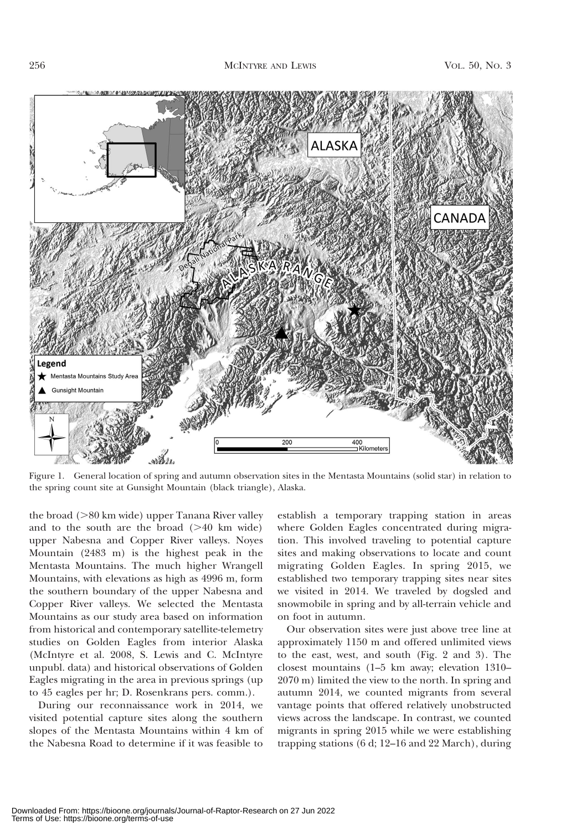

Figure 1. General location of spring and autumn observation sites in the Mentasta Mountains (solid star) in relation to the spring count site at Gunsight Mountain (black triangle), Alaska.

the broad  $(>80 \text{ km wide})$  upper Tanana River valley and to the south are the broad  $(>40$  km wide) upper Nabesna and Copper River valleys. Noyes Mountain (2483 m) is the highest peak in the Mentasta Mountains. The much higher Wrangell Mountains, with elevations as high as 4996 m, form the southern boundary of the upper Nabesna and Copper River valleys. We selected the Mentasta Mountains as our study area based on information from historical and contemporary satellite-telemetry studies on Golden Eagles from interior Alaska (McIntyre et al. 2008, S. Lewis and C. McIntyre unpubl. data) and historical observations of Golden Eagles migrating in the area in previous springs (up to 45 eagles per hr; D. Rosenkrans pers. comm.).

During our reconnaissance work in 2014, we visited potential capture sites along the southern slopes of the Mentasta Mountains within 4 km of the Nabesna Road to determine if it was feasible to

establish a temporary trapping station in areas where Golden Eagles concentrated during migration. This involved traveling to potential capture sites and making observations to locate and count migrating Golden Eagles. In spring 2015, we established two temporary trapping sites near sites we visited in 2014. We traveled by dogsled and snowmobile in spring and by all-terrain vehicle and on foot in autumn.

Our observation sites were just above tree line at approximately 1150 m and offered unlimited views to the east, west, and south (Fig. 2 and 3). The closest mountains (1–5 km away; elevation 1310– 2070 m) limited the view to the north. In spring and autumn 2014, we counted migrants from several vantage points that offered relatively unobstructed views across the landscape. In contrast, we counted migrants in spring 2015 while we were establishing trapping stations (6 d; 12–16 and 22 March), during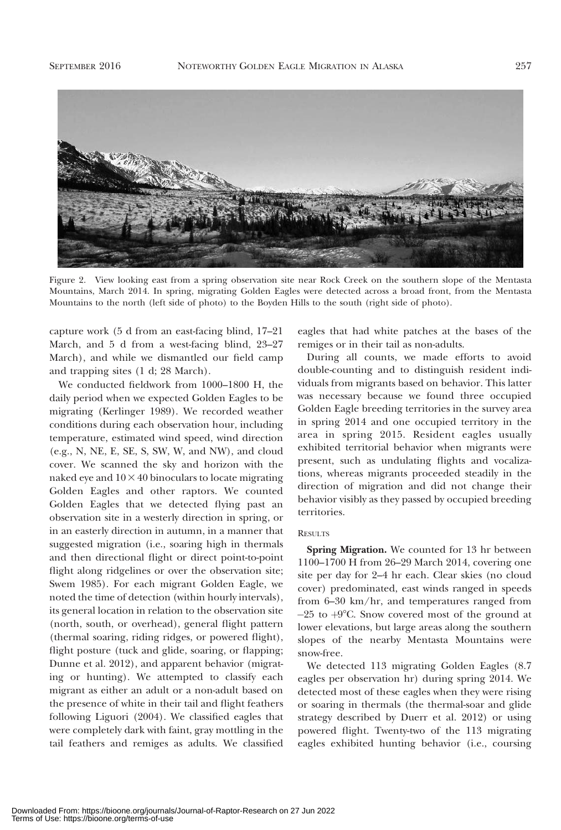

Figure 2. View looking east from a spring observation site near Rock Creek on the southern slope of the Mentasta Mountains, March 2014. In spring, migrating Golden Eagles were detected across a broad front, from the Mentasta Mountains to the north (left side of photo) to the Boyden Hills to the south (right side of photo).

capture work (5 d from an east-facing blind, 17–21 March, and 5 d from a west-facing blind, 23–27 March), and while we dismantled our field camp and trapping sites (1 d; 28 March).

We conducted fieldwork from 1000–1800 H, the daily period when we expected Golden Eagles to be migrating (Kerlinger 1989). We recorded weather conditions during each observation hour, including temperature, estimated wind speed, wind direction (e.g., N, NE, E, SE, S, SW, W, and NW), and cloud cover. We scanned the sky and horizon with the naked eye and  $10\times40$  binoculars to locate migrating Golden Eagles and other raptors. We counted Golden Eagles that we detected flying past an observation site in a westerly direction in spring, or in an easterly direction in autumn, in a manner that suggested migration (i.e., soaring high in thermals and then directional flight or direct point-to-point flight along ridgelines or over the observation site; Swem 1985). For each migrant Golden Eagle, we noted the time of detection (within hourly intervals), its general location in relation to the observation site (north, south, or overhead), general flight pattern (thermal soaring, riding ridges, or powered flight), flight posture (tuck and glide, soaring, or flapping; Dunne et al. 2012), and apparent behavior (migrating or hunting). We attempted to classify each migrant as either an adult or a non-adult based on the presence of white in their tail and flight feathers following Liguori (2004). We classified eagles that were completely dark with faint, gray mottling in the tail feathers and remiges as adults. We classified eagles that had white patches at the bases of the remiges or in their tail as non-adults.

During all counts, we made efforts to avoid double-counting and to distinguish resident individuals from migrants based on behavior. This latter was necessary because we found three occupied Golden Eagle breeding territories in the survey area in spring 2014 and one occupied territory in the area in spring 2015. Resident eagles usually exhibited territorial behavior when migrants were present, such as undulating flights and vocalizations, whereas migrants proceeded steadily in the direction of migration and did not change their behavior visibly as they passed by occupied breeding territories.

#### **RESULTS**

Spring Migration. We counted for 13 hr between 1100–1700 H from 26–29 March 2014, covering one site per day for 2–4 hr each. Clear skies (no cloud cover) predominated, east winds ranged in speeds from 6–30 km/hr, and temperatures ranged from  $-25$  to  $+9^{\circ}$ C. Snow covered most of the ground at lower elevations, but large areas along the southern slopes of the nearby Mentasta Mountains were snow-free.

We detected 113 migrating Golden Eagles (8.7 eagles per observation hr) during spring 2014. We detected most of these eagles when they were rising or soaring in thermals (the thermal-soar and glide strategy described by Duerr et al. 2012) or using powered flight. Twenty-two of the 113 migrating eagles exhibited hunting behavior (i.e., coursing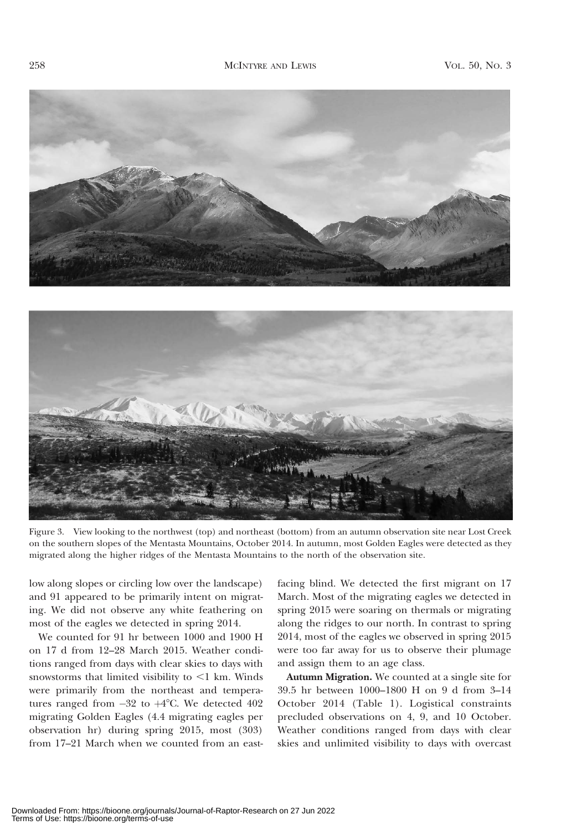



Figure 3. View looking to the northwest (top) and northeast (bottom) from an autumn observation site near Lost Creek on the southern slopes of the Mentasta Mountains, October 2014. In autumn, most Golden Eagles were detected as they migrated along the higher ridges of the Mentasta Mountains to the north of the observation site.

low along slopes or circling low over the landscape) and 91 appeared to be primarily intent on migrating. We did not observe any white feathering on most of the eagles we detected in spring 2014.

We counted for 91 hr between 1000 and 1900 H on 17 d from 12–28 March 2015. Weather conditions ranged from days with clear skies to days with snowstorms that limited visibility to  $\leq 1$  km. Winds were primarily from the northeast and temperatures ranged from  $-32$  to  $+4^{\circ}$ C. We detected  $402$ migrating Golden Eagles (4.4 migrating eagles per observation hr) during spring 2015, most (303) from 17–21 March when we counted from an eastfacing blind. We detected the first migrant on 17 March. Most of the migrating eagles we detected in spring 2015 were soaring on thermals or migrating along the ridges to our north. In contrast to spring 2014, most of the eagles we observed in spring 2015 were too far away for us to observe their plumage and assign them to an age class.

Autumn Migration. We counted at a single site for 39.5 hr between 1000–1800 H on 9 d from 3–14 October 2014 (Table 1). Logistical constraints precluded observations on 4, 9, and 10 October. Weather conditions ranged from days with clear skies and unlimited visibility to days with overcast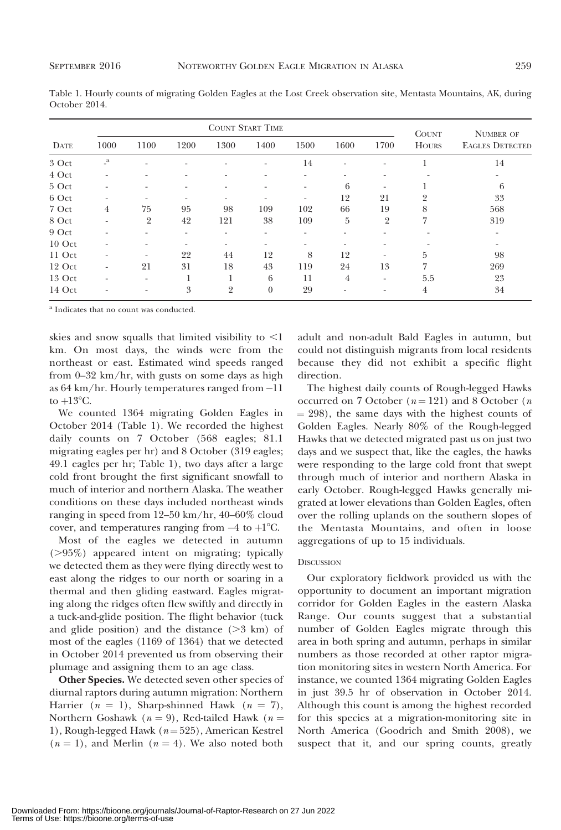Table 1. Hourly counts of migrating Golden Eagles at the Lost Creek observation site, Mentasta Mountains, AK, during October 2014.

|             | <b>COUNT START TIME</b>  |                          |                          |                |          |      |      |                | <b>COUNT</b> | <b>NUMBER OF</b>       |
|-------------|--------------------------|--------------------------|--------------------------|----------------|----------|------|------|----------------|--------------|------------------------|
| <b>DATE</b> | 1000                     | 1100                     | 1200                     | 1300           | 1400     | 1500 | 1600 | 1700           | <b>HOURS</b> | <b>EAGLES DETECTED</b> |
| 3 Oct       | $\mathbf{r}$             |                          |                          |                | ٠        | 14   |      | ۰              |              | 14                     |
| 4 Oct       |                          |                          |                          | ۰              |          |      |      |                |              | ۰                      |
| 5 Oct       | $\overline{\phantom{a}}$ |                          |                          | ۰              |          | ۰    | 6    | ٠              |              | 6                      |
| 6 Oct       |                          |                          |                          | ۰              |          |      | 12   | 21             | 2            | 33                     |
| 7 Oct       | $\overline{4}$           | 75                       | 95                       | 98             | 109      | 102  | 66   | 19             | 8            | 568                    |
| 8 Oct       |                          | $\overline{2}$           | 42                       | 121            | 38       | 109  | 5    | $\overline{2}$ |              | 319                    |
| 9 Oct       |                          |                          | $\overline{\phantom{a}}$ | ۰              |          |      |      |                |              |                        |
| $10$ Oct    |                          |                          |                          | ۰              |          |      |      |                |              |                        |
| 11 Oct      |                          | ٠                        | 22                       | 44             | 12       | 8    | 12   |                | 5            | 98                     |
| 12 Oct      | $\overline{\phantom{a}}$ | 21                       | 31                       | 18             | 43       | 119  | 24   | 13             | 7            | 269                    |
| 13 Oct      |                          | $\overline{\phantom{a}}$ |                          |                | 6        | 11   | 4    | ٠              | 5.5          | 23                     |
| 14 Oct      |                          |                          | 3                        | $\overline{2}$ | $\theta$ | 29   |      |                | 4            | 34                     |

<sup>a</sup> Indicates that no count was conducted.

skies and snow squalls that limited visibility to  $\leq$ 1 km. On most days, the winds were from the northeast or east. Estimated wind speeds ranged from 0–32 km/hr, with gusts on some days as high as 64 km/hr. Hourly temperatures ranged from -11 to  $+13^{\circ}$ C.

We counted 1364 migrating Golden Eagles in October 2014 (Table 1). We recorded the highest daily counts on 7 October (568 eagles; 81.1 migrating eagles per hr) and 8 October (319 eagles; 49.1 eagles per hr; Table 1), two days after a large cold front brought the first significant snowfall to much of interior and northern Alaska. The weather conditions on these days included northeast winds ranging in speed from 12–50 km/hr, 40–60% cloud cover, and temperatures ranging from  $-4$  to  $+1^{\circ}$ C.

Most of the eagles we detected in autumn  $(>95%)$  appeared intent on migrating; typically we detected them as they were flying directly west to east along the ridges to our north or soaring in a thermal and then gliding eastward. Eagles migrating along the ridges often flew swiftly and directly in a tuck-and-glide position. The flight behavior (tuck and glide position) and the distance  $(>= 3 \text{ km})$  of most of the eagles (1169 of 1364) that we detected in October 2014 prevented us from observing their plumage and assigning them to an age class.

Other Species. We detected seven other species of diurnal raptors during autumn migration: Northern Harrier ( $n = 1$ ), Sharp-shinned Hawk ( $n = 7$ ), Northern Goshawk ( $n = 9$ ), Red-tailed Hawk ( $n =$ 1), Rough-legged Hawk ( $n = 525$ ), American Kestrel  $(n = 1)$ , and Merlin  $(n = 4)$ . We also noted both adult and non-adult Bald Eagles in autumn, but could not distinguish migrants from local residents because they did not exhibit a specific flight direction.

The highest daily counts of Rough-legged Hawks occurred on 7 October ( $n = 121$ ) and 8 October (*n*  $= 298$ ), the same days with the highest counts of Golden Eagles. Nearly 80% of the Rough-legged Hawks that we detected migrated past us on just two days and we suspect that, like the eagles, the hawks were responding to the large cold front that swept through much of interior and northern Alaska in early October. Rough-legged Hawks generally migrated at lower elevations than Golden Eagles, often over the rolling uplands on the southern slopes of the Mentasta Mountains, and often in loose aggregations of up to 15 individuals.

#### **DISCUSSION**

Our exploratory fieldwork provided us with the opportunity to document an important migration corridor for Golden Eagles in the eastern Alaska Range. Our counts suggest that a substantial number of Golden Eagles migrate through this area in both spring and autumn, perhaps in similar numbers as those recorded at other raptor migration monitoring sites in western North America. For instance, we counted 1364 migrating Golden Eagles in just 39.5 hr of observation in October 2014. Although this count is among the highest recorded for this species at a migration-monitoring site in North America (Goodrich and Smith 2008), we suspect that it, and our spring counts, greatly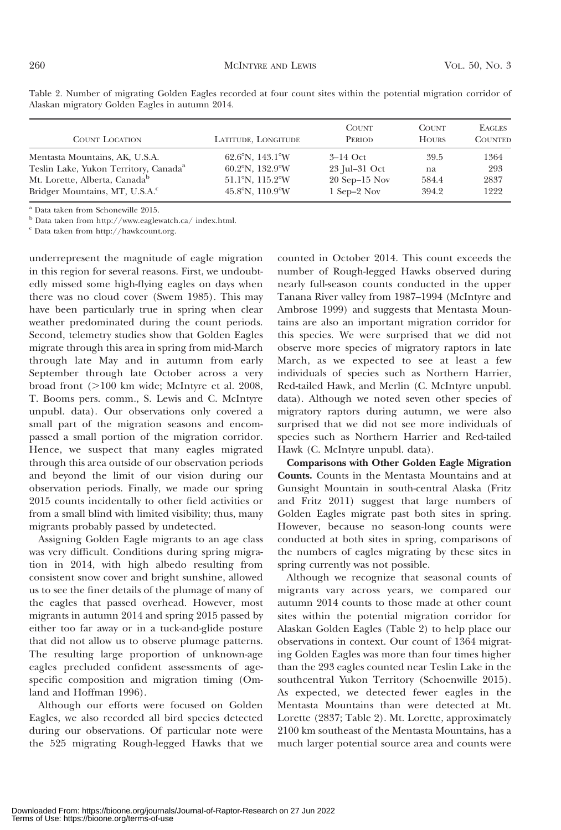| <b>COUNT LOCATION</b>                             | LATITUDE, LONGITUDE                  | <b>COUNT</b><br><b>PERIOD</b> | <b>COUNT</b><br><b>HOURS</b> | <b>EAGLES</b><br><b>COUNTED</b> |
|---------------------------------------------------|--------------------------------------|-------------------------------|------------------------------|---------------------------------|
| Mentasta Mountains, AK, U.S.A.                    | $62.6^{\circ}$ N, 143.1 $^{\circ}$ W | $3-14$ Oct                    | 39.5                         | 1364                            |
| Teslin Lake, Yukon Territory, Canada <sup>a</sup> | $60.2^{\circ}$ N, 132.9°W            | 23 Jul-31 Oct                 | na                           | 293                             |
| Mt. Lorette, Alberta, Canada <sup>b</sup>         | $51.1^{\circ}$ N, $115.2^{\circ}$ W  | $20$ Sep-15 Nov               | 584.4                        | 2837                            |
| Bridger Mountains, MT, U.S.A. <sup>c</sup>        | $45.8^{\circ}$ N, 110.9°W            | $1$ Sep $-2$ Nov              | 394.2                        | 1222                            |

Table 2. Number of migrating Golden Eagles recorded at four count sites within the potential migration corridor of Alaskan migratory Golden Eagles in autumn 2014.

<sup>a</sup> Data taken from Schonewille 2015.

 $^{\rm b}$  Data taken from http://www.eaglewatch.ca/ index.html.

 $^{\rm c}$  Data taken from http://hawkcount.org.

underrepresent the magnitude of eagle migration in this region for several reasons. First, we undoubtedly missed some high-flying eagles on days when there was no cloud cover (Swem 1985). This may have been particularly true in spring when clear weather predominated during the count periods. Second, telemetry studies show that Golden Eagles migrate through this area in spring from mid-March through late May and in autumn from early September through late October across a very broad front  $(>100$  km wide; McIntyre et al. 2008, T. Booms pers. comm., S. Lewis and C. McIntyre unpubl. data). Our observations only covered a small part of the migration seasons and encompassed a small portion of the migration corridor. Hence, we suspect that many eagles migrated through this area outside of our observation periods and beyond the limit of our vision during our observation periods. Finally, we made our spring 2015 counts incidentally to other field activities or from a small blind with limited visibility; thus, many migrants probably passed by undetected.

Assigning Golden Eagle migrants to an age class was very difficult. Conditions during spring migration in 2014, with high albedo resulting from consistent snow cover and bright sunshine, allowed us to see the finer details of the plumage of many of the eagles that passed overhead. However, most migrants in autumn 2014 and spring 2015 passed by either too far away or in a tuck-and-glide posture that did not allow us to observe plumage patterns. The resulting large proportion of unknown-age eagles precluded confident assessments of agespecific composition and migration timing (Omland and Hoffman 1996).

Although our efforts were focused on Golden Eagles, we also recorded all bird species detected during our observations. Of particular note were the 525 migrating Rough-legged Hawks that we counted in October 2014. This count exceeds the number of Rough-legged Hawks observed during nearly full-season counts conducted in the upper Tanana River valley from 1987–1994 (McIntyre and Ambrose 1999) and suggests that Mentasta Mountains are also an important migration corridor for this species. We were surprised that we did not observe more species of migratory raptors in late March, as we expected to see at least a few individuals of species such as Northern Harrier, Red-tailed Hawk, and Merlin (C. McIntyre unpubl. data). Although we noted seven other species of migratory raptors during autumn, we were also surprised that we did not see more individuals of species such as Northern Harrier and Red-tailed Hawk (C. McIntyre unpubl. data).

Comparisons with Other Golden Eagle Migration Counts. Counts in the Mentasta Mountains and at Gunsight Mountain in south-central Alaska (Fritz and Fritz 2011) suggest that large numbers of Golden Eagles migrate past both sites in spring. However, because no season-long counts were conducted at both sites in spring, comparisons of the numbers of eagles migrating by these sites in spring currently was not possible.

Although we recognize that seasonal counts of migrants vary across years, we compared our autumn 2014 counts to those made at other count sites within the potential migration corridor for Alaskan Golden Eagles (Table 2) to help place our observations in context. Our count of 1364 migrating Golden Eagles was more than four times higher than the 293 eagles counted near Teslin Lake in the southcentral Yukon Territory (Schoenwille 2015). As expected, we detected fewer eagles in the Mentasta Mountains than were detected at Mt. Lorette (2837; Table 2). Mt. Lorette, approximately 2100 km southeast of the Mentasta Mountains, has a much larger potential source area and counts were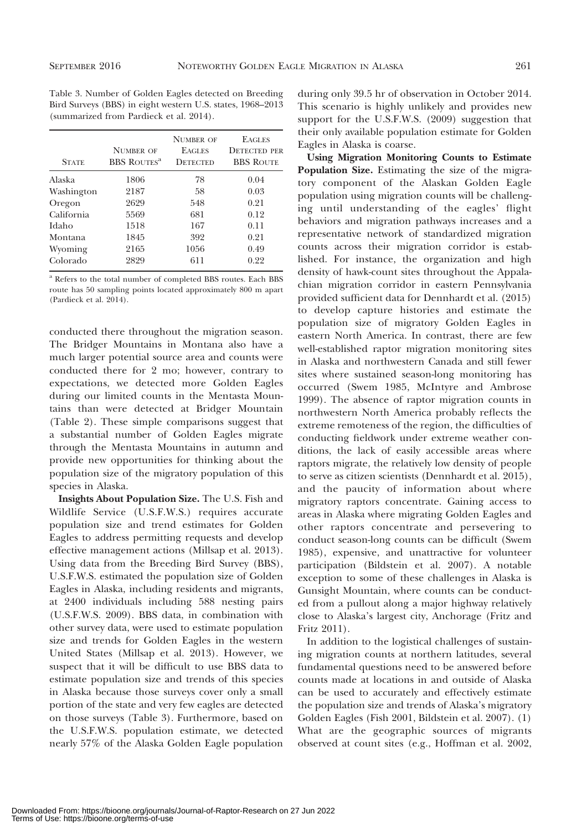Table 3. Number of Golden Eagles detected on Breeding Bird Surveys (BBS) in eight western U.S. states, 1968–2013 (summarized from Pardieck et al. 2014).

| <b>STATE</b> | <b>NIMBER OF</b><br><b>BBS ROUTES<sup>a</sup></b> | <b>NUMBER OF</b><br><b>EAGLES</b><br><b>DETECTED</b> | <b>EAGLES</b><br><b>DETECTED PER</b><br><b>BBS ROUTE</b> |
|--------------|---------------------------------------------------|------------------------------------------------------|----------------------------------------------------------|
| Alaska       | 1806                                              | 78                                                   | 0.04                                                     |
| Washington   | 2187                                              | 58                                                   | 0.03                                                     |
| Oregon       | 2629                                              | 548                                                  | 0.21                                                     |
| California   | 5569                                              | 681                                                  | 0.12                                                     |
| Idaho        | 1518                                              | 167                                                  | 0.11                                                     |
| Montana      | 1845                                              | 392                                                  | 0.21                                                     |
| Wyoming      | 2165                                              | 1056                                                 | 0.49                                                     |
| Colorado     | 2829                                              | 611                                                  | 0.22                                                     |

<sup>a</sup> Refers to the total number of completed BBS routes. Each BBS route has 50 sampling points located approximately 800 m apart (Pardieck et al. 2014).

conducted there throughout the migration season. The Bridger Mountains in Montana also have a much larger potential source area and counts were conducted there for 2 mo; however, contrary to expectations, we detected more Golden Eagles during our limited counts in the Mentasta Mountains than were detected at Bridger Mountain (Table 2). These simple comparisons suggest that a substantial number of Golden Eagles migrate through the Mentasta Mountains in autumn and provide new opportunities for thinking about the population size of the migratory population of this species in Alaska.

Insights About Population Size. The U.S. Fish and Wildlife Service (U.S.F.W.S.) requires accurate population size and trend estimates for Golden Eagles to address permitting requests and develop effective management actions (Millsap et al. 2013). Using data from the Breeding Bird Survey (BBS), U.S.F.W.S. estimated the population size of Golden Eagles in Alaska, including residents and migrants, at 2400 individuals including 588 nesting pairs (U.S.F.W.S. 2009). BBS data, in combination with other survey data, were used to estimate population size and trends for Golden Eagles in the western United States (Millsap et al. 2013). However, we suspect that it will be difficult to use BBS data to estimate population size and trends of this species in Alaska because those surveys cover only a small portion of the state and very few eagles are detected on those surveys (Table 3). Furthermore, based on the U.S.F.W.S. population estimate, we detected nearly 57% of the Alaska Golden Eagle population during only 39.5 hr of observation in October 2014. This scenario is highly unlikely and provides new support for the U.S.F.W.S. (2009) suggestion that their only available population estimate for Golden Eagles in Alaska is coarse.

Using Migration Monitoring Counts to Estimate Population Size. Estimating the size of the migratory component of the Alaskan Golden Eagle population using migration counts will be challenging until understanding of the eagles' flight behaviors and migration pathways increases and a representative network of standardized migration counts across their migration corridor is established. For instance, the organization and high density of hawk-count sites throughout the Appalachian migration corridor in eastern Pennsylvania provided sufficient data for Dennhardt et al. (2015) to develop capture histories and estimate the population size of migratory Golden Eagles in eastern North America. In contrast, there are few well-established raptor migration monitoring sites in Alaska and northwestern Canada and still fewer sites where sustained season-long monitoring has occurred (Swem 1985, McIntyre and Ambrose 1999). The absence of raptor migration counts in northwestern North America probably reflects the extreme remoteness of the region, the difficulties of conducting fieldwork under extreme weather conditions, the lack of easily accessible areas where raptors migrate, the relatively low density of people to serve as citizen scientists (Dennhardt et al. 2015), and the paucity of information about where migratory raptors concentrate. Gaining access to areas in Alaska where migrating Golden Eagles and other raptors concentrate and persevering to conduct season-long counts can be difficult (Swem 1985), expensive, and unattractive for volunteer participation (Bildstein et al. 2007). A notable exception to some of these challenges in Alaska is Gunsight Mountain, where counts can be conducted from a pullout along a major highway relatively close to Alaska's largest city, Anchorage (Fritz and Fritz 2011).

In addition to the logistical challenges of sustaining migration counts at northern latitudes, several fundamental questions need to be answered before counts made at locations in and outside of Alaska can be used to accurately and effectively estimate the population size and trends of Alaska's migratory Golden Eagles (Fish 2001, Bildstein et al. 2007). (1) What are the geographic sources of migrants observed at count sites (e.g., Hoffman et al. 2002,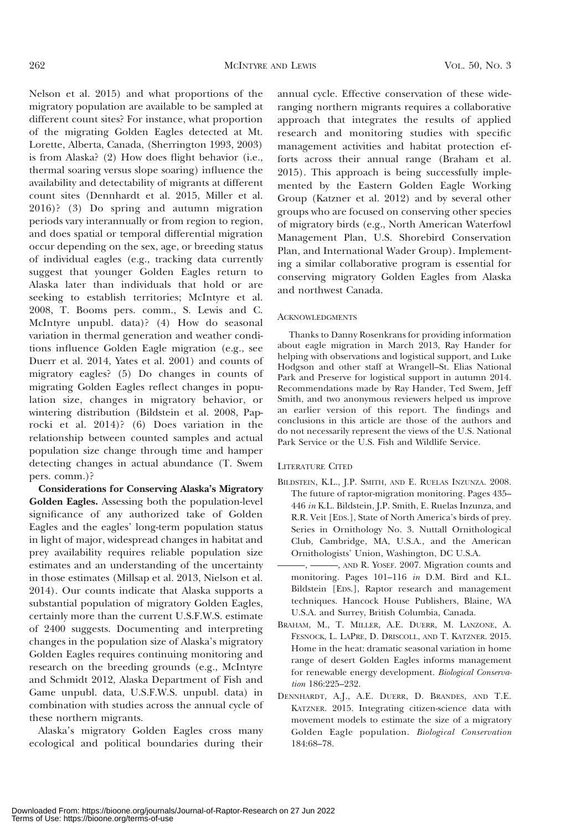Nelson et al. 2015) and what proportions of the migratory population are available to be sampled at different count sites? For instance, what proportion of the migrating Golden Eagles detected at Mt. Lorette, Alberta, Canada, (Sherrington 1993, 2003) is from Alaska? (2) How does flight behavior (i.e., thermal soaring versus slope soaring) influence the availability and detectability of migrants at different count sites (Dennhardt et al. 2015, Miller et al. 2016)? (3) Do spring and autumn migration periods vary interannually or from region to region, and does spatial or temporal differential migration occur depending on the sex, age, or breeding status of individual eagles (e.g., tracking data currently suggest that younger Golden Eagles return to Alaska later than individuals that hold or are seeking to establish territories; McIntyre et al. 2008, T. Booms pers. comm., S. Lewis and C. McIntyre unpubl. data)? (4) How do seasonal variation in thermal generation and weather conditions influence Golden Eagle migration (e.g., see Duerr et al. 2014, Yates et al. 2001) and counts of migratory eagles? (5) Do changes in counts of migrating Golden Eagles reflect changes in population size, changes in migratory behavior, or wintering distribution (Bildstein et al. 2008, Paprocki et al. 2014)? (6) Does variation in the relationship between counted samples and actual population size change through time and hamper detecting changes in actual abundance (T. Swem pers. comm.)?

Considerations for Conserving Alaska's Migratory Golden Eagles. Assessing both the population-level significance of any authorized take of Golden Eagles and the eagles' long-term population status in light of major, widespread changes in habitat and prey availability requires reliable population size estimates and an understanding of the uncertainty in those estimates (Millsap et al. 2013, Nielson et al. 2014). Our counts indicate that Alaska supports a substantial population of migratory Golden Eagles, certainly more than the current U.S.F.W.S. estimate of 2400 suggests. Documenting and interpreting changes in the population size of Alaska's migratory Golden Eagles requires continuing monitoring and research on the breeding grounds (e.g., McIntyre and Schmidt 2012, Alaska Department of Fish and Game unpubl. data, U.S.F.W.S. unpubl. data) in combination with studies across the annual cycle of these northern migrants.

Alaska's migratory Golden Eagles cross many ecological and political boundaries during their

annual cycle. Effective conservation of these wideranging northern migrants requires a collaborative approach that integrates the results of applied research and monitoring studies with specific management activities and habitat protection efforts across their annual range (Braham et al. 2015). This approach is being successfully implemented by the Eastern Golden Eagle Working Group (Katzner et al. 2012) and by several other groups who are focused on conserving other species of migratory birds (e.g., North American Waterfowl Management Plan, U.S. Shorebird Conservation Plan, and International Wader Group). Implementing a similar collaborative program is essential for conserving migratory Golden Eagles from Alaska and northwest Canada.

#### ACKNOWLEDGMENTS

Thanks to Danny Rosenkrans for providing information about eagle migration in March 2013, Ray Hander for helping with observations and logistical support, and Luke Hodgson and other staff at Wrangell–St. Elias National Park and Preserve for logistical support in autumn 2014. Recommendations made by Ray Hander, Ted Swem, Jeff Smith, and two anonymous reviewers helped us improve an earlier version of this report. The findings and conclusions in this article are those of the authors and do not necessarily represent the views of the U.S. National Park Service or the U.S. Fish and Wildlife Service.

#### LITERATURE CITED

- BILDSTEIN, K.L., J.P. SMITH, AND E. RUELAS INZUNZA. 2008. The future of raptor-migration monitoring. Pages 435– 446 in K.L. Bildstein, J.P. Smith, E. Ruelas Inzunza, and R.R. Veit [EDS.], State of North America's birds of prey. Series in Ornithology No. 3. Nuttall Ornithological Club, Cambridge, MA, U.S.A., and the American Ornithologists' Union, Washington, DC U.S.A.
- ———, ———, AND R. YOSEF. 2007. Migration counts and monitoring. Pages 101–116 in D.M. Bird and K.L. Bildstein [EDS.], Raptor research and management techniques. Hancock House Publishers, Blaine, WA U.S.A. and Surrey, British Columbia, Canada.
- BRAHAM, M., T. MILLER, A.E. DUERR, M. LANZONE, A. FESNOCK, L. LAPRE, D. DRISCOLL, AND T. KATZNER. 2015. Home in the heat: dramatic seasonal variation in home range of desert Golden Eagles informs management for renewable energy development. Biological Conservation 186:225–232.
- DENNHARDT, A.J., A.E. DUERR, D. BRANDES, AND T.E. KATZNER. 2015. Integrating citizen-science data with movement models to estimate the size of a migratory Golden Eagle population. Biological Conservation 184:68–78.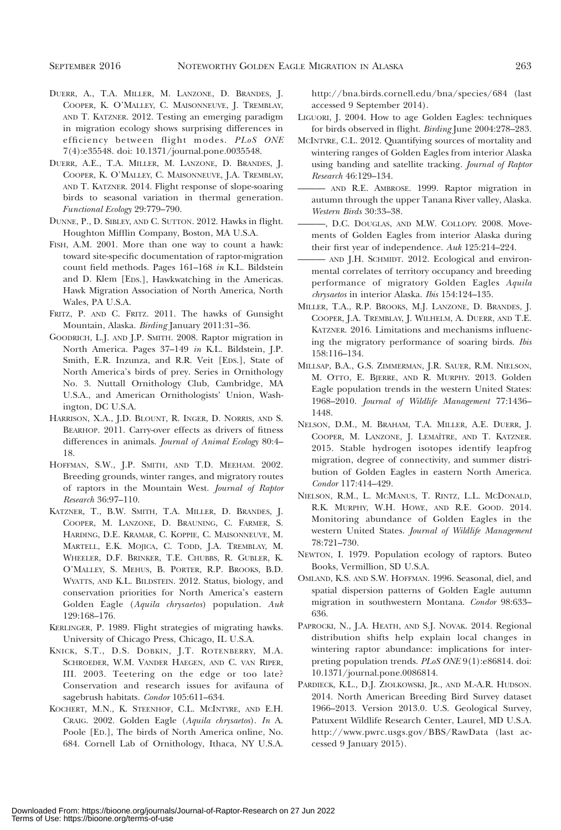- DUERR, A., T.A. MILLER, M. LANZONE, D. BRANDES, J. COOPER, K. O'MALLEY, C. MAISONNEUVE, J. TREMBLAY, AND T. KATZNER. 2012. Testing an emerging paradigm in migration ecology shows surprising differences in efficiency between flight modes. PLoS ONE 7(4):e35548. doi: 10.1371/journal.pone.0035548.
- DUERR, A.E., T.A. MILLER, M. LANZONE, D. BRANDES, J. COOPER, K. O'MALLEY, C. MAISONNEUVE, J.A. TREMBLAY, AND T. KATZNER. 2014. Flight response of slope-soaring birds to seasonal variation in thermal generation. Functional Ecology 29:779–790.
- DUNNE, P., D. SIBLEY, AND C. SUTTON. 2012. Hawks in flight. Houghton Mifflin Company, Boston, MA U.S.A.
- FISH, A.M. 2001. More than one way to count a hawk: toward site-specific documentation of raptor-migration count field methods. Pages 161–168 in K.L. Bildstein and D. Klem [EDS.], Hawkwatching in the Americas. Hawk Migration Association of North America, North Wales, PA U.S.A.
- FRITZ, P. AND C. FRITZ. 2011. The hawks of Gunsight Mountain, Alaska. Birding January 2011:31–36.
- GOODRICH, L.J. AND J.P. SMITH. 2008. Raptor migration in North America. Pages 37–149 in K.L. Bildstein, J.P. Smith, E.R. Inzunza, and R.R. Veit [EDS.], State of North America's birds of prey. Series in Ornithology No. 3. Nuttall Ornithology Club, Cambridge, MA U.S.A., and American Ornithologists' Union, Washington, DC U.S.A.
- HARRISON, X.A., J.D. BLOUNT, R. INGER, D. NORRIS, AND S. BEARHOP. 2011. Carry-over effects as drivers of fitness differences in animals. Journal of Animal Ecology 80:4– 18.
- HOFFMAN, S.W., J.P. SMITH, AND T.D. MEEHAM. 2002. Breeding grounds, winter ranges, and migratory routes of raptors in the Mountain West. Journal of Raptor Research 36:97–110.
- KATZNER, T., B.W. SMITH, T.A. MILLER, D. BRANDES, J. COOPER, M. LANZONE, D. BRAUNING, C. FARMER, S. HARDING, D.E. KRAMAR, C. KOPPIE, C. MAISONNEUVE, M. MARTELL, E.K. MOJICA, C. TODD, J.A. TREMBLAY, M. WHEELER, D.F. BRINKER, T.E. CHUBBS, R. GUBLER, K. O'MALLEY, S. MEHUS, B. PORTER, R.P. BROOKS, B.D. WYATTS, AND K.L. BILDSTEIN. 2012. Status, biology, and conservation priorities for North America's eastern Golden Eagle (Aquila chrysaetos) population. Auk 129:168–176.
- KERLINGER, P. 1989. Flight strategies of migrating hawks. University of Chicago Press, Chicago, IL U.S.A.
- KNICK, S.T., D.S. DOBKIN, J.T. ROTENBERRY, M.A. SCHROEDER, W.M. VANDER HAEGEN, AND C. VAN RIPER, III. 2003. Teetering on the edge or too late? Conservation and research issues for avifauna of sagebrush habitats. Condor 105:611–634.
- KOCHERT, M.N., K. STEENHOF, C.L. MCINTYRE, AND E.H. CRAIG. 2002. Golden Eagle (Aquila chrysaetos). In A. Poole [ED.], The birds of North America online, No. 684. Cornell Lab of Ornithology, Ithaca, NY U.S.A.

http://bna.birds.cornell.edu/bna/species/684 (last accessed 9 September 2014).

- LIGUORI, J. 2004. How to age Golden Eagles: techniques for birds observed in flight. Birding June 2004:278–283.
- MCINTYRE, C.L. 2012. Quantifying sources of mortality and wintering ranges of Golden Eagles from interior Alaska using banding and satellite tracking. Journal of Raptor Research 46:129–134.
- ——— AND R.E. AMBROSE. 1999. Raptor migration in autumn through the upper Tanana River valley, Alaska. Western Birds 30:33–38.
- ———, D.C. DOUGLAS, AND M.W. COLLOPY. 2008. Movements of Golden Eagles from interior Alaska during their first year of independence. Auk 125:214–224.
- AND J.H. SCHMIDT. 2012. Ecological and environmental correlates of territory occupancy and breeding performance of migratory Golden Eagles Aquila chrysaetos in interior Alaska. Ibis 154:124–135.
- MILLER, T.A., R.P. BROOKS, M.J. LANZONE, D. BRANDES, J. COOPER, J.A. TREMBLAY, J. WILHELM, A. DUERR, AND T.E. KATZNER. 2016. Limitations and mechanisms influencing the migratory performance of soaring birds. Ibis 158:116–134.
- MILLSAP, B.A., G.S. ZIMMERMAN, J.R. SAUER, R.M. NIELSON, M. OTTO, E. BJERRE, AND R. MURPHY. 2013. Golden Eagle population trends in the western United States: 1968–2010. Journal of Wildlife Management 77:1436– 1448.
- NELSON, D.M., M. BRAHAM, T.A. MILLER, A.E. DUERR, J. COOPER, M. LANZONE, J. LEMAˆITRE, AND T. KATZNER. 2015. Stable hydrogen isotopes identify leapfrog migration, degree of connectivity, and summer distribution of Golden Eagles in eastern North America. Condor 117:414–429.
- NIELSON, R.M., L. MCMANUS, T. RINTZ, L.L. MCDONALD, R.K. MURPHY, W.H. HOWE, AND R.E. GOOD. 2014. Monitoring abundance of Golden Eagles in the western United States. Journal of Wildlife Management 78:721–730.
- NEWTON, I. 1979. Population ecology of raptors. Buteo Books, Vermillion, SD U.S.A.
- OMLAND, K.S. AND S.W. HOFFMAN. 1996. Seasonal, diel, and spatial dispersion patterns of Golden Eagle autumn migration in southwestern Montana. Condor 98:633– 636.
- PAPROCKI, N., J.A. HEATH, AND S.J. NOVAK. 2014. Regional distribution shifts help explain local changes in wintering raptor abundance: implications for interpreting population trends. PLoS ONE 9(1):e86814. doi: 10.1371/journal.pone.0086814.
- PARDIECK, K.L., D.J. ZIOLKOWSKI, JR., AND M.-A.R. HUDSON. 2014. North American Breeding Bird Survey dataset 1966–2013. Version 2013.0. U.S. Geological Survey, Patuxent Wildlife Research Center, Laurel, MD U.S.A. http://www.pwrc.usgs.gov/BBS/RawData (last accessed 9 January 2015).